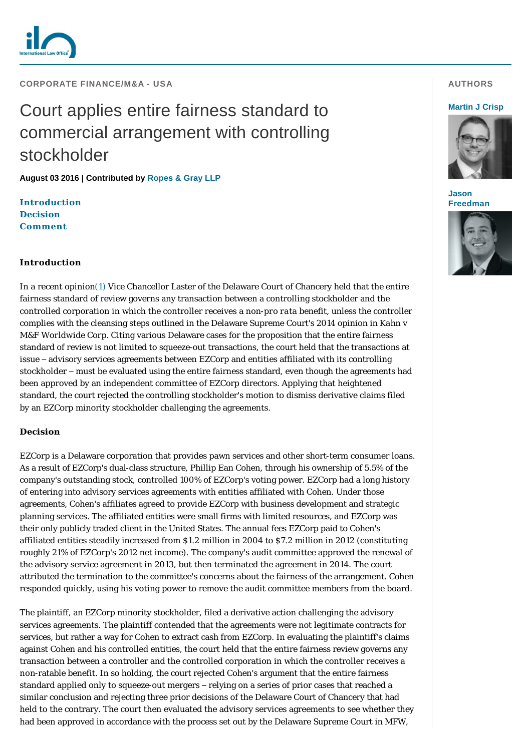

# **CORPORATE FINANCE/M&A - USA**

# Court applies entire fairness standard to commercial arrangement with controlling stockholder

**August 03 2016 | Contributed by [Ropes & Gray LLP](http://www.internationallawoffice.com/gesr.ashx?l=7S3H5CP)**

**[Introduction](#page-0-0) [Decision](#page-0-1) [Comment](#page-1-0)**

# <span id="page-0-0"></span>**Introduction**

In a recent opinio[n\(1\)](#page-1-1) Vice Chancellor Laster of the Delaware Court of Chancery held that the entire fairness standard of review governs any transaction between a controlling stockholder and the controlled corporation in which the controller receives a non-*pro rata* benefit, unless the controller complies with the cleansing steps outlined in the Delaware Supreme Court's 2014 opinion in *Kahn v M&F Worldwide Corp*. Citing various Delaware cases for the proposition that the entire fairness standard of review is not limited to squeeze-out transactions, the court held that the transactions at issue – advisory services agreements between EZCorp and entities affiliated with its controlling stockholder – must be evaluated using the entire fairness standard, even though the agreements had been approved by an independent committee of EZCorp directors. Applying that heightened standard, the court rejected the controlling stockholder's motion to dismiss derivative claims filed by an EZCorp minority stockholder challenging the agreements.

### <span id="page-0-1"></span>**Decision**

EZCorp is a Delaware corporation that provides pawn services and other short-term consumer loans. As a result of EZCorp's dual-class structure, Phillip Ean Cohen, through his ownership of 5.5% of the company's outstanding stock, controlled 100% of EZCorp's voting power. EZCorp had a long history of entering into advisory services agreements with entities affiliated with Cohen. Under those agreements, Cohen's affiliates agreed to provide EZCorp with business development and strategic planning services. The affiliated entities were small firms with limited resources, and EZCorp was their only publicly traded client in the United States. The annual fees EZCorp paid to Cohen's affiliated entities steadily increased from \$1.2 million in 2004 to \$7.2 million in 2012 (constituting roughly 21% of EZCorp's 2012 net income). The company's audit committee approved the renewal of the advisory service agreement in 2013, but then terminated the agreement in 2014. The court attributed the termination to the committee's concerns about the fairness of the arrangement. Cohen responded quickly, using his voting power to remove the audit committee members from the board.

The plaintiff, an EZCorp minority stockholder, filed a derivative action challenging the advisory services agreements. The plaintiff contended that the agreements were not legitimate contracts for services, but rather a way for Cohen to extract cash from EZCorp. In evaluating the plaintiff's claims against Cohen and his controlled entities, the court held that the entire fairness review governs any transaction between a controller and the controlled corporation in which the controller receives a non-ratable benefit. In so holding, the court rejected Cohen's argument that the entire fairness standard applied only to squeeze-out mergers – relying on a series of prior cases that reached a similar conclusion and rejecting three prior decisions of the Delaware Court of Chancery that had held to the contrary. The court then evaluated the advisory services agreements to see whether they had been approved in accordance with the process set out by the Delaware Supreme Court in *MFW*,

# **AUTHORS**

#### **[Martin J Crisp](http://www.internationallawoffice.com/gesr.ashx?l=7S3H5CS)**



**Jason [Freedman](http://www.internationallawoffice.com/gesr.ashx?l=7S3H5CV)**